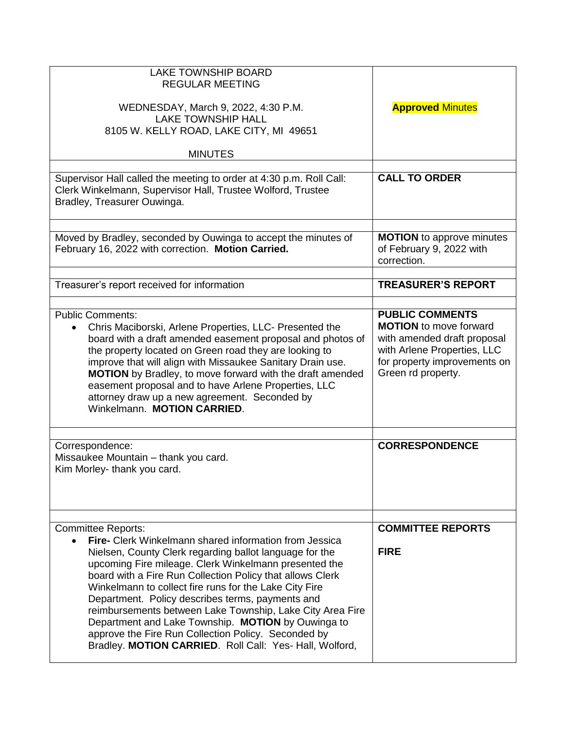| <b>LAKE TOWNSHIP BOARD</b><br><b>REGULAR MEETING</b><br>WEDNESDAY, March 9, 2022, 4:30 P.M.<br><b>LAKE TOWNSHIP HALL</b><br>8105 W. KELLY ROAD, LAKE CITY, MI 49651<br><b>MINUTES</b>                                                                                                                                                                                                                                                                                                                                                                                                                                          | <b>Approved Minutes</b>                                                                                                                                                     |
|--------------------------------------------------------------------------------------------------------------------------------------------------------------------------------------------------------------------------------------------------------------------------------------------------------------------------------------------------------------------------------------------------------------------------------------------------------------------------------------------------------------------------------------------------------------------------------------------------------------------------------|-----------------------------------------------------------------------------------------------------------------------------------------------------------------------------|
| Supervisor Hall called the meeting to order at 4:30 p.m. Roll Call:<br>Clerk Winkelmann, Supervisor Hall, Trustee Wolford, Trustee<br>Bradley, Treasurer Ouwinga.                                                                                                                                                                                                                                                                                                                                                                                                                                                              | <b>CALL TO ORDER</b>                                                                                                                                                        |
| Moved by Bradley, seconded by Ouwinga to accept the minutes of<br>February 16, 2022 with correction. Motion Carried.                                                                                                                                                                                                                                                                                                                                                                                                                                                                                                           | <b>MOTION</b> to approve minutes<br>of February 9, 2022 with<br>correction.                                                                                                 |
| Treasurer's report received for information                                                                                                                                                                                                                                                                                                                                                                                                                                                                                                                                                                                    | <b>TREASURER'S REPORT</b>                                                                                                                                                   |
| <b>Public Comments:</b><br>Chris Maciborski, Arlene Properties, LLC- Presented the<br>٠<br>board with a draft amended easement proposal and photos of<br>the property located on Green road they are looking to<br>improve that will align with Missaukee Sanitary Drain use.<br><b>MOTION</b> by Bradley, to move forward with the draft amended<br>easement proposal and to have Arlene Properties, LLC<br>attorney draw up a new agreement. Seconded by<br>Winkelmann. MOTION CARRIED.                                                                                                                                      | <b>PUBLIC COMMENTS</b><br><b>MOTION</b> to move forward<br>with amended draft proposal<br>with Arlene Properties, LLC<br>for property improvements on<br>Green rd property. |
| Correspondence:<br>Missaukee Mountain - thank you card.<br>Kim Morley- thank you card.                                                                                                                                                                                                                                                                                                                                                                                                                                                                                                                                         | <b>CORRESPONDENCE</b>                                                                                                                                                       |
| <b>Committee Reports:</b><br><b>Fire-</b> Clerk Winkelmann shared information from Jessica<br>Nielsen, County Clerk regarding ballot language for the<br>upcoming Fire mileage. Clerk Winkelmann presented the<br>board with a Fire Run Collection Policy that allows Clerk<br>Winkelmann to collect fire runs for the Lake City Fire<br>Department. Policy describes terms, payments and<br>reimbursements between Lake Township, Lake City Area Fire<br>Department and Lake Township. MOTION by Ouwinga to<br>approve the Fire Run Collection Policy. Seconded by<br>Bradley. MOTION CARRIED. Roll Call: Yes- Hall, Wolford, | <b>COMMITTEE REPORTS</b><br><b>FIRE</b>                                                                                                                                     |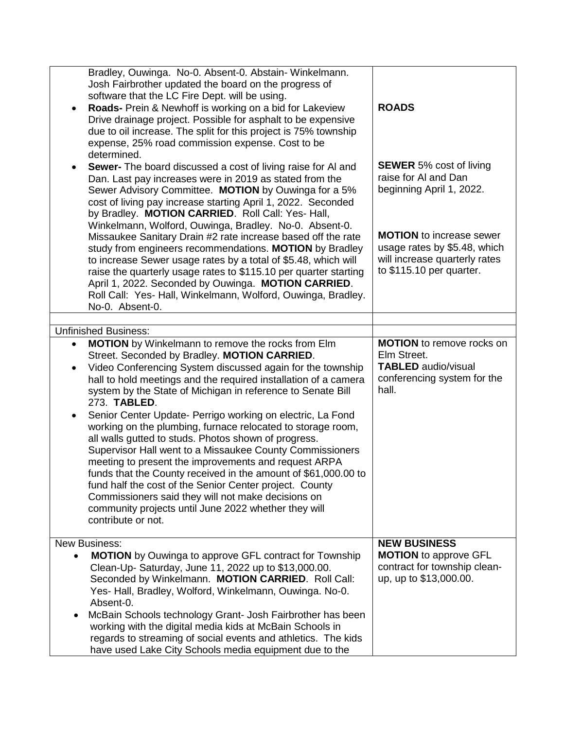|           | Bradley, Ouwinga. No-0. Absent-0. Abstain- Winkelmann.                                                                  |                                                              |
|-----------|-------------------------------------------------------------------------------------------------------------------------|--------------------------------------------------------------|
|           | Josh Fairbrother updated the board on the progress of                                                                   |                                                              |
|           | software that the LC Fire Dept. will be using.                                                                          |                                                              |
| ٠         | Roads- Prein & Newhoff is working on a bid for Lakeview                                                                 | <b>ROADS</b>                                                 |
|           | Drive drainage project. Possible for asphalt to be expensive                                                            |                                                              |
|           | due to oil increase. The split for this project is 75% township                                                         |                                                              |
|           | expense, 25% road commission expense. Cost to be                                                                        |                                                              |
|           | determined.                                                                                                             |                                                              |
| $\bullet$ | Sewer- The board discussed a cost of living raise for AI and                                                            | <b>SEWER</b> 5% cost of living                               |
|           | Dan. Last pay increases were in 2019 as stated from the                                                                 | raise for AI and Dan                                         |
|           | Sewer Advisory Committee. MOTION by Ouwinga for a 5%                                                                    | beginning April 1, 2022.                                     |
|           | cost of living pay increase starting April 1, 2022. Seconded                                                            |                                                              |
|           | by Bradley. MOTION CARRIED. Roll Call: Yes- Hall,                                                                       |                                                              |
|           | Winkelmann, Wolford, Ouwinga, Bradley. No-0. Absent-0.                                                                  | <b>MOTION</b> to increase sewer                              |
|           | Missaukee Sanitary Drain #2 rate increase based off the rate<br>study from engineers recommendations. MOTION by Bradley | usage rates by \$5.48, which                                 |
|           | to increase Sewer usage rates by a total of \$5.48, which will                                                          | will increase quarterly rates                                |
|           | raise the quarterly usage rates to \$115.10 per quarter starting                                                        | to \$115.10 per quarter.                                     |
|           | April 1, 2022. Seconded by Ouwinga. MOTION CARRIED.                                                                     |                                                              |
|           | Roll Call: Yes- Hall, Winkelmann, Wolford, Ouwinga, Bradley.                                                            |                                                              |
|           | No-0. Absent-0.                                                                                                         |                                                              |
|           |                                                                                                                         |                                                              |
|           | <b>Unfinished Business:</b>                                                                                             |                                                              |
| $\bullet$ | <b>MOTION</b> by Winkelmann to remove the rocks from Elm                                                                | <b>MOTION</b> to remove rocks on                             |
|           | Street. Seconded by Bradley. MOTION CARRIED.                                                                            | Elm Street.                                                  |
| $\bullet$ | Video Conferencing System discussed again for the township                                                              | <b>TABLED</b> audio/visual                                   |
|           | hall to hold meetings and the required installation of a camera                                                         | conferencing system for the                                  |
|           | system by the State of Michigan in reference to Senate Bill                                                             | hall.                                                        |
|           |                                                                                                                         |                                                              |
|           | 273. TABLED.                                                                                                            |                                                              |
| ٠         | Senior Center Update- Perrigo working on electric, La Fond                                                              |                                                              |
|           | working on the plumbing, furnace relocated to storage room,                                                             |                                                              |
|           | all walls gutted to studs. Photos shown of progress.                                                                    |                                                              |
|           | Supervisor Hall went to a Missaukee County Commissioners                                                                |                                                              |
|           | meeting to present the improvements and request ARPA                                                                    |                                                              |
|           | funds that the County received in the amount of \$61,000.00 to                                                          |                                                              |
|           | fund half the cost of the Senior Center project. County                                                                 |                                                              |
|           | Commissioners said they will not make decisions on                                                                      |                                                              |
|           | community projects until June 2022 whether they will                                                                    |                                                              |
|           | contribute or not.                                                                                                      |                                                              |
|           | <b>New Business:</b>                                                                                                    | <b>NEW BUSINESS</b>                                          |
|           |                                                                                                                         |                                                              |
|           | <b>MOTION</b> by Ouwinga to approve GFL contract for Township                                                           | <b>MOTION</b> to approve GFL<br>contract for township clean- |
|           | Clean-Up- Saturday, June 11, 2022 up to \$13,000.00.<br>Seconded by Winkelmann. MOTION CARRIED. Roll Call:              | up, up to \$13,000.00.                                       |
|           | Yes- Hall, Bradley, Wolford, Winkelmann, Ouwinga. No-0.                                                                 |                                                              |
|           | Absent-0.                                                                                                               |                                                              |
|           | McBain Schools technology Grant- Josh Fairbrother has been                                                              |                                                              |
|           | working with the digital media kids at McBain Schools in                                                                |                                                              |
|           | regards to streaming of social events and athletics. The kids                                                           |                                                              |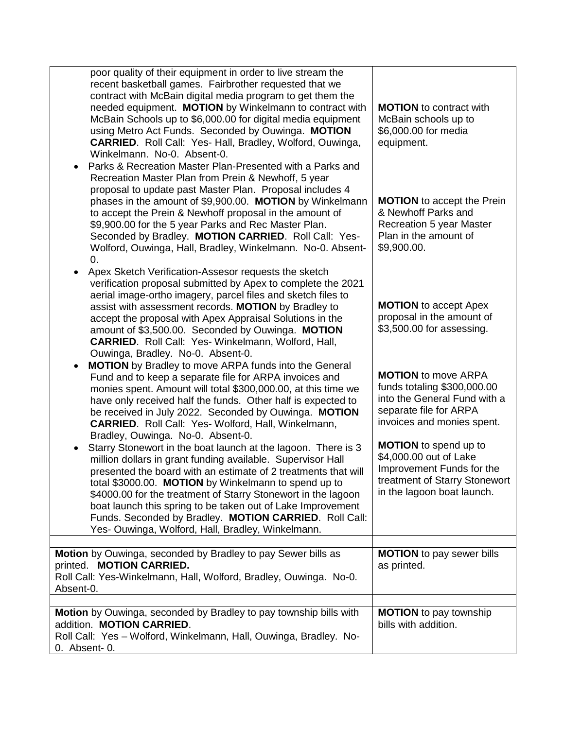| poor quality of their equipment in order to live stream the<br>recent basketball games. Fairbrother requested that we<br>contract with McBain digital media program to get them the<br>needed equipment. MOTION by Winkelmann to contract with<br>McBain Schools up to \$6,000.00 for digital media equipment<br>using Metro Act Funds. Seconded by Ouwinga. MOTION<br><b>CARRIED.</b> Roll Call: Yes- Hall, Bradley, Wolford, Ouwinga,<br>Winkelmann. No-0. Absent-0.<br>Parks & Recreation Master Plan-Presented with a Parks and<br>Recreation Master Plan from Prein & Newhoff, 5 year<br>proposal to update past Master Plan. Proposal includes 4<br>phases in the amount of \$9,900.00. MOTION by Winkelmann<br>to accept the Prein & Newhoff proposal in the amount of<br>\$9,900.00 for the 5 year Parks and Rec Master Plan.<br>Seconded by Bradley. MOTION CARRIED. Roll Call: Yes-<br>Wolford, Ouwinga, Hall, Bradley, Winkelmann. No-0. Absent-<br>0. | <b>MOTION</b> to contract with<br>McBain schools up to<br>\$6,000.00 for media<br>equipment.<br><b>MOTION</b> to accept the Prein<br>& Newhoff Parks and<br><b>Recreation 5 year Master</b><br>Plan in the amount of<br>\$9,900.00. |
|-------------------------------------------------------------------------------------------------------------------------------------------------------------------------------------------------------------------------------------------------------------------------------------------------------------------------------------------------------------------------------------------------------------------------------------------------------------------------------------------------------------------------------------------------------------------------------------------------------------------------------------------------------------------------------------------------------------------------------------------------------------------------------------------------------------------------------------------------------------------------------------------------------------------------------------------------------------------|-------------------------------------------------------------------------------------------------------------------------------------------------------------------------------------------------------------------------------------|
| Apex Sketch Verification-Assesor requests the sketch<br>$\bullet$<br>verification proposal submitted by Apex to complete the 2021<br>aerial image-ortho imagery, parcel files and sketch files to<br>assist with assessment records. MOTION by Bradley to<br>accept the proposal with Apex Appraisal Solutions in the<br>amount of \$3,500.00. Seconded by Ouwinga. MOTION<br><b>CARRIED.</b> Roll Call: Yes-Winkelmann, Wolford, Hall,<br>Ouwinga, Bradley. No-0. Absent-0.<br><b>MOTION</b> by Bradley to move ARPA funds into the General<br>$\bullet$<br>Fund and to keep a separate file for ARPA invoices and<br>monies spent. Amount will total \$300,000.00, at this time we<br>have only received half the funds. Other half is expected to                                                                                                                                                                                                              | <b>MOTION</b> to accept Apex<br>proposal in the amount of<br>\$3,500.00 for assessing.<br><b>MOTION</b> to move ARPA<br>funds totaling \$300,000.00<br>into the General Fund with a<br>separate file for ARPA                       |
| be received in July 2022. Seconded by Ouwinga. MOTION<br><b>CARRIED.</b> Roll Call: Yes- Wolford, Hall, Winkelmann,<br>Bradley, Ouwinga. No-0. Absent-0.<br>Starry Stonewort in the boat launch at the lagoon. There is 3<br>٠<br>million dollars in grant funding available. Supervisor Hall<br>presented the board with an estimate of 2 treatments that will<br>total \$3000.00. MOTION by Winkelmann to spend up to<br>\$4000.00 for the treatment of Starry Stonewort in the lagoon<br>boat launch this spring to be taken out of Lake Improvement<br>Funds. Seconded by Bradley. MOTION CARRIED. Roll Call:<br>Yes- Ouwinga, Wolford, Hall, Bradley, Winkelmann.                                                                                                                                                                                                                                                                                            | invoices and monies spent.<br><b>MOTION</b> to spend up to<br>\$4,000.00 out of Lake<br>Improvement Funds for the<br>treatment of Starry Stonewort<br>in the lagoon boat launch.                                                    |
| Motion by Ouwinga, seconded by Bradley to pay Sewer bills as<br>printed. MOTION CARRIED.<br>Roll Call: Yes-Winkelmann, Hall, Wolford, Bradley, Ouwinga. No-0.<br>Absent-0.                                                                                                                                                                                                                                                                                                                                                                                                                                                                                                                                                                                                                                                                                                                                                                                        | <b>MOTION</b> to pay sewer bills<br>as printed.                                                                                                                                                                                     |
| Motion by Ouwinga, seconded by Bradley to pay township bills with<br>addition. MOTION CARRIED.<br>Roll Call: Yes - Wolford, Winkelmann, Hall, Ouwinga, Bradley. No-<br>0. Absent- 0.                                                                                                                                                                                                                                                                                                                                                                                                                                                                                                                                                                                                                                                                                                                                                                              | <b>MOTION</b> to pay township<br>bills with addition.                                                                                                                                                                               |